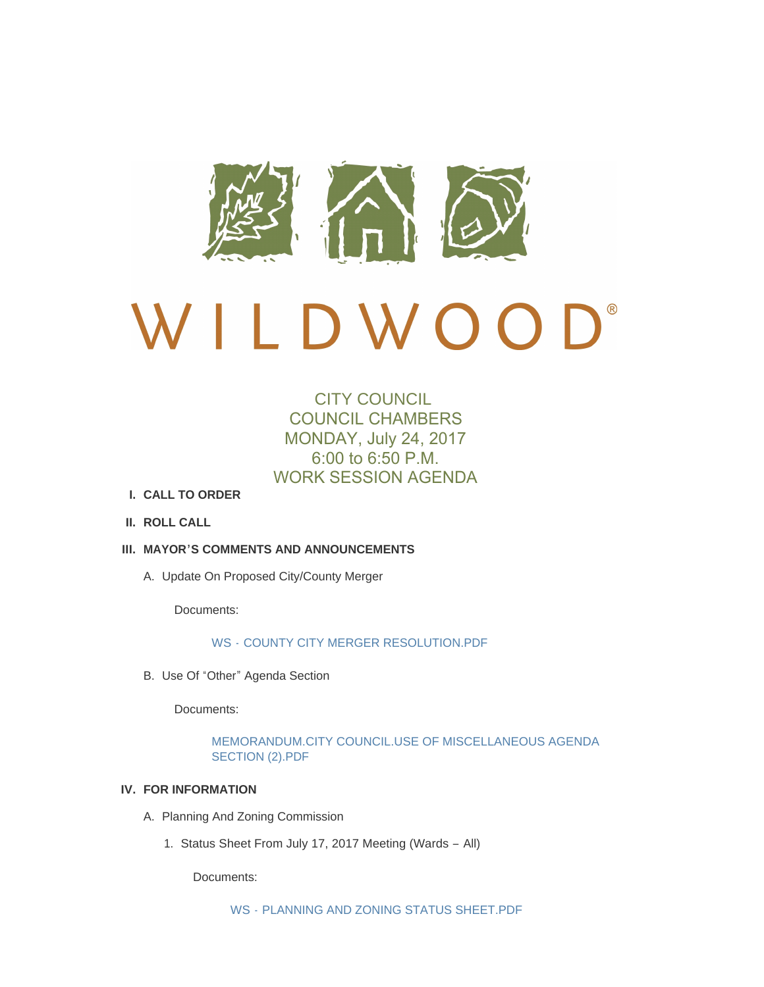

# Beautiful Research D W O O

# CITY COUNCIL COUNCIL CHAMBERS MONDAY, July 24, 2017 6:00 to 6:50 P.M. WORK SESSION AGENDA

- **CALL TO ORDER I.**
- **ROLL CALL II.**
- **MAYOR'S COMMENTS AND ANNOUNCEMENTS III.**
	- A. Update On Proposed City/County Merger

Documents:

# WS - [COUNTY CITY MERGER RESOLUTION.PDF](http://cityofwildwood.com/AgendaCenter/ViewFile/Item/11605?fileID=16814)

B. Use Of "Other" Agenda Section

Documents:

[MEMORANDUM.CITY COUNCIL.USE OF MISCELLANEOUS AGENDA](http://cityofwildwood.com/AgendaCenter/ViewFile/Item/11606?fileID=16888)  SECTION (2).PDF

# **FOR INFORMATION IV.**

- A. Planning And Zoning Commission
	- 1. Status Sheet From July 17, 2017 Meeting (Wards All)

Documents: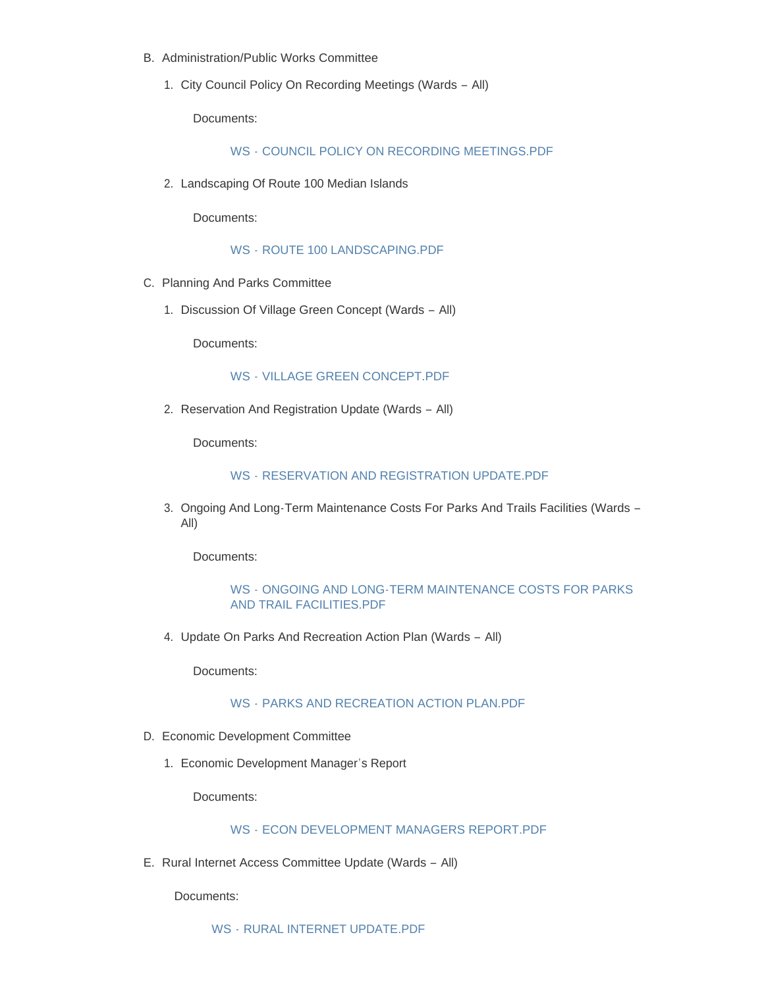- B. Administration/Public Works Committee
	- 1. City Council Policy On Recording Meetings (Wards All)

Documents:

WS - [COUNCIL POLICY ON RECORDING MEETINGS.PDF](http://cityofwildwood.com/AgendaCenter/ViewFile/Item/11611?fileID=16787)

2. Landscaping Of Route 100 Median Islands

Documents:

WS - [ROUTE 100 LANDSCAPING.PDF](http://cityofwildwood.com/AgendaCenter/ViewFile/Item/11612?fileID=16788)

- C. Planning And Parks Committee
	- 1. Discussion Of Village Green Concept (Wards All)

Documents:

#### WS - [VILLAGE GREEN CONCEPT.PDF](http://cityofwildwood.com/AgendaCenter/ViewFile/Item/11614?fileID=16789)

2. Reservation And Registration Update (Wards - All)

Documents:

#### WS - [RESERVATION AND REGISTRATION UPDATE.PDF](http://cityofwildwood.com/AgendaCenter/ViewFile/Item/11615?fileID=16790)

3. Ongoing And Long-Term Maintenance Costs For Parks And Trails Facilities (Wards -All)

Documents:

### WS - [ONGOING AND LONG-TERM MAINTENANCE COSTS FOR PARKS](http://cityofwildwood.com/AgendaCenter/ViewFile/Item/11616?fileID=16791)  AND TRAIL FACILITIES.PDF

4. Update On Parks And Recreation Action Plan (Wards - All)

Documents:

# WS - [PARKS AND RECREATION ACTION PLAN.PDF](http://cityofwildwood.com/AgendaCenter/ViewFile/Item/11617?fileID=16792)

- D. Economic Development Committee
	- 1. Economic Development Manager's Report

Documents:

# WS - [ECON DEVELOPMENT MANAGERS REPORT.PDF](http://cityofwildwood.com/AgendaCenter/ViewFile/Item/11619?fileID=16793)

E. Rural Internet Access Committee Update (Wards - All)

Documents: